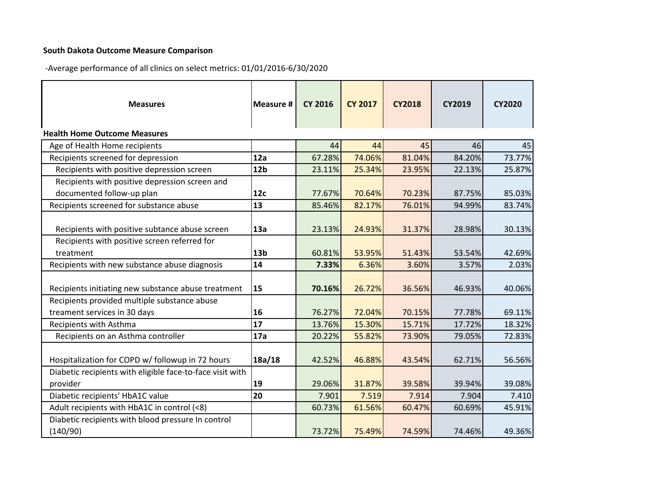## **South Dakota Outcome Measure Comparison**

-Average performance of all clinics on select metrics: 01/01/2016-6/30/2020

| <b>Measures</b>                                                | lMeasure #      | <b>CY 2016</b> | <b>CY 2017</b> | <b>CY2018</b> | <b>CY2019</b> | <b>CY2020</b> |
|----------------------------------------------------------------|-----------------|----------------|----------------|---------------|---------------|---------------|
| <b>Health Home Outcome Measures</b>                            |                 |                |                |               |               |               |
| Age of Health Home recipients                                  |                 | 44             | 44             | 45            | 46            | 45            |
| Recipients screened for depression                             | 12a             | 67.28%         | 74.06%         | 81.04%        | 84.20%        | 73.77%        |
| Recipients with positive depression screen                     | 12 <sub>b</sub> | 23.11%         | 25.34%         | 23.95%        | 22.13%        | 25.87%        |
| Recipients with positive depression screen and                 |                 |                |                |               |               |               |
| documented follow-up plan                                      | 12c             | 77.67%         | 70.64%         | 70.23%        | 87.75%        | 85.03%        |
| Recipients screened for substance abuse                        | 13              | 85.46%         | 82.17%         | 76.01%        | 94.99%        | 83.74%        |
| Recipients with positive subtance abuse screen                 | 13a             | 23.13%         | 24.93%         | 31.37%        | 28.98%        | 30.13%        |
| Recipients with positive screen referred for                   |                 |                |                |               |               |               |
| treatment                                                      | 13 <sub>b</sub> | 60.81%         | 53.95%         | 51.43%        | 53.54%        | 42.69%        |
| Recipients with new substance abuse diagnosis                  | 14              | 7.33%          | 6.36%          | 3.60%         | 3.57%         | 2.03%         |
| Recipients initiating new substance abuse treatment            | 15              | 70.16%         | 26.72%         | 36.56%        | 46.93%        | 40.06%        |
| Recipients provided multiple substance abuse                   |                 |                |                |               |               |               |
| treament services in 30 days                                   | 16              | 76.27%         | 72.04%         | 70.15%        | 77.78%        | 69.11%        |
| Recipients with Asthma                                         | 17              | 13.76%         | 15.30%         | 15.71%        | 17.72%        | 18.32%        |
| Recipients on an Asthma controller                             | 17a             | 20.22%         | 55.82%         | 73.90%        | 79.05%        | 72.83%        |
| Hospitalization for COPD w/ followup in 72 hours               | 18a/18          | 42.52%         | 46.88%         | 43.54%        | 62.71%        | 56.56%        |
| Diabetic recipients with eligible face-to-face visit with      |                 |                |                |               |               |               |
| provider                                                       | 19              | 29.06%         | 31.87%         | 39.58%        | 39.94%        | 39.08%        |
| Diabetic recipients' HbA1C value                               | 20              | 7.901          | 7.519          | 7.914         | 7.904         | 7.410         |
| Adult recipients with HbA1C in control (<8)                    |                 | 60.73%         | 61.56%         | 60.47%        | 60.69%        | 45.91%        |
| Diabetic recipients with blood pressure In control<br>(140/90) |                 | 73.72%         | 75.49%         | 74.59%        | 74.46%        | 49.36%        |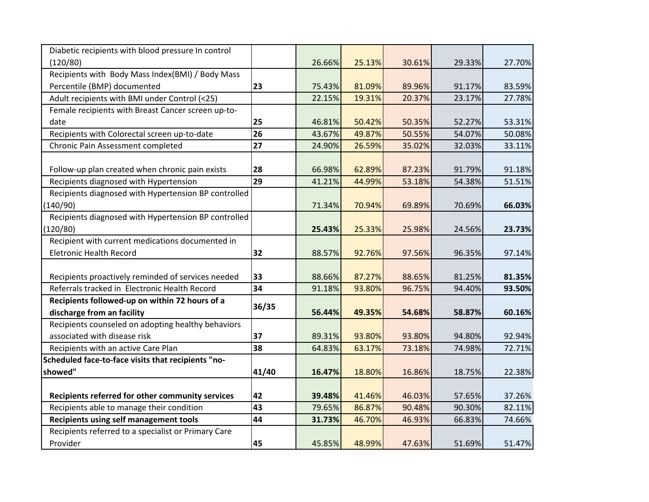| Diabetic recipients with blood pressure In control   |       |        |        |        |        |        |
|------------------------------------------------------|-------|--------|--------|--------|--------|--------|
| (120/80)                                             |       | 26.66% | 25.13% | 30.61% | 29.33% | 27.70% |
| Recipients with Body Mass Index(BMI) / Body Mass     |       |        |        |        |        |        |
| Percentile (BMP) documented                          | 23    | 75.43% | 81.09% | 89.96% | 91.17% | 83.59% |
| Adult recipients with BMI under Control (<25)        |       | 22.15% | 19.31% | 20.37% | 23.17% | 27.78% |
| Female recipients with Breast Cancer screen up-to-   |       |        |        |        |        |        |
| date                                                 | 25    | 46.81% | 50.42% | 50.35% | 52.27% | 53.31% |
| Recipients with Colorectal screen up-to-date         | 26    | 43.67% | 49.87% | 50.55% | 54.07% | 50.08% |
| Chronic Pain Assessment completed                    | 27    | 24.90% | 26.59% | 35.02% | 32.03% | 33.11% |
| Follow-up plan created when chronic pain exists      | 28    | 66.98% | 62.89% | 87.23% | 91.79% | 91.18% |
| Recipients diagnosed with Hypertension               | 29    | 41.21% | 44.99% | 53.18% | 54.38% | 51.51% |
| Recipients diagnosed with Hypertension BP controlled |       |        |        |        |        |        |
| (140/90)                                             |       | 71.34% | 70.94% | 69.89% | 70.69% | 66.03% |
| Recipients diagnosed with Hypertension BP controlled |       |        |        |        |        |        |
| (120/80)                                             |       | 25.43% | 25.33% | 25.98% | 24.56% | 23.73% |
| Recipient with current medications documented in     |       |        |        |        |        |        |
| <b>Eletronic Health Record</b>                       | 32    | 88.57% | 92.76% | 97.56% | 96.35% | 97.14% |
|                                                      |       |        |        |        |        |        |
| Recipients proactively reminded of services needed   | 33    | 88.66% | 87.27% | 88.65% | 81.25% | 81.35% |
| Referrals tracked in Electronic Health Record        | 34    | 91.18% | 93.80% | 96.75% | 94.40% | 93.50% |
| Recipients followed-up on within 72 hours of a       | 36/35 |        |        |        |        |        |
| discharge from an facility                           |       | 56.44% | 49.35% | 54.68% | 58.87% | 60.16% |
| Recipients counseled on adopting healthy behaviors   |       |        |        |        |        |        |
| associated with disease risk                         | 37    | 89.31% | 93.80% | 93.80% | 94.80% | 92.94% |
| Recipients with an active Care Plan                  | 38    | 64.83% | 63.17% | 73.18% | 74.98% | 72.71% |
| Scheduled face-to-face visits that recipients "no-   |       |        |        |        |        |        |
| showed"                                              | 41/40 | 16.47% | 18.80% | 16.86% | 18.75% | 22.38% |
|                                                      |       |        |        |        |        |        |
| Recipients referred for other community services     | 42    | 39.48% | 41.46% | 46.03% | 57.65% | 37.26% |
| Recipients able to manage their condition            | 43    | 79.65% | 86.87% | 90.48% | 90.30% | 82.11% |
| <b>Recipients using self management tools</b>        | 44    | 31.73% | 46.70% | 46.93% | 66.83% | 74.66% |
| Recipients referred to a specialist or Primary Care  |       |        |        |        |        |        |
| Provider                                             | 45    | 45.85% | 48.99% | 47.63% | 51.69% | 51.47% |